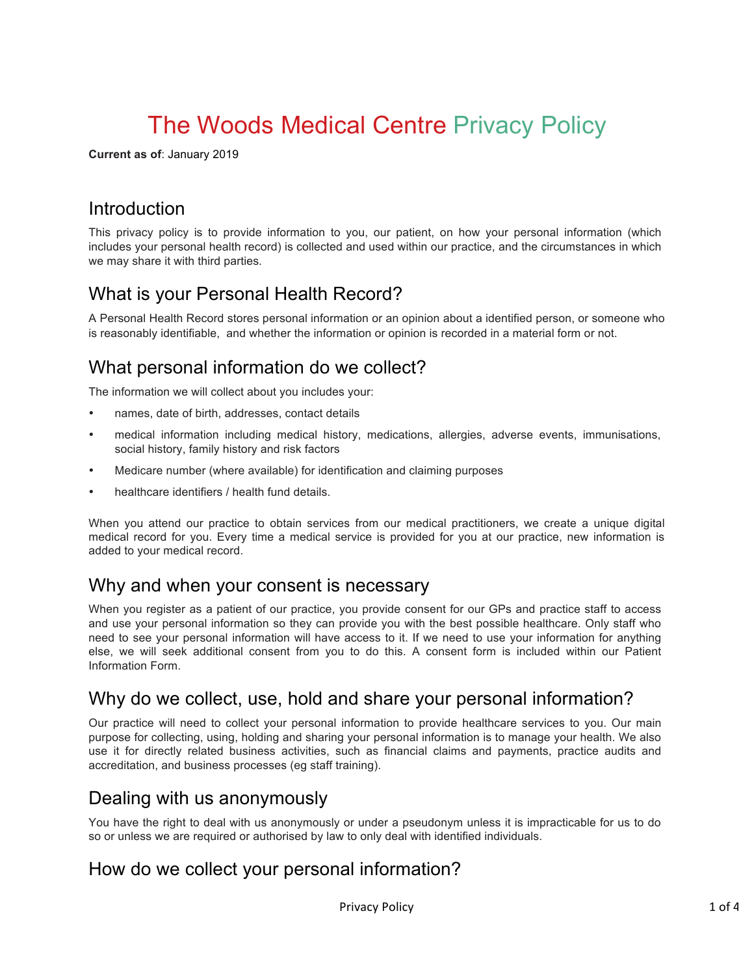# The Woods Medical Centre Privacy Policy

**Current as of**: January 2019

## Introduction

This privacy policy is to provide information to you, our patient, on how your personal information (which includes your personal health record) is collected and used within our practice, and the circumstances in which we may share it with third parties.

# What is your Personal Health Record?

A Personal Health Record stores personal information or an opinion about a identified person, or someone who is reasonably identifiable, and whether the information or opinion is recorded in a material form or not.

# What personal information do we collect?

The information we will collect about you includes your:

- names, date of birth, addresses, contact details
- medical information including medical history, medications, allergies, adverse events, immunisations, social history, family history and risk factors
- Medicare number (where available) for identification and claiming purposes
- healthcare identifiers / health fund details.

When you attend our practice to obtain services from our medical practitioners, we create a unique digital medical record for you. Every time a medical service is provided for you at our practice, new information is added to your medical record.

### Why and when your consent is necessary

When you register as a patient of our practice, you provide consent for our GPs and practice staff to access and use your personal information so they can provide you with the best possible healthcare. Only staff who need to see your personal information will have access to it. If we need to use your information for anything else, we will seek additional consent from you to do this. A consent form is included within our Patient Information Form.

### Why do we collect, use, hold and share your personal information?

Our practice will need to collect your personal information to provide healthcare services to you. Our main purpose for collecting, using, holding and sharing your personal information is to manage your health. We also use it for directly related business activities, such as financial claims and payments, practice audits and accreditation, and business processes (eg staff training).

## Dealing with us anonymously

You have the right to deal with us anonymously or under a pseudonym unless it is impracticable for us to do so or unless we are required or authorised by law to only deal with identified individuals.

## How do we collect your personal information?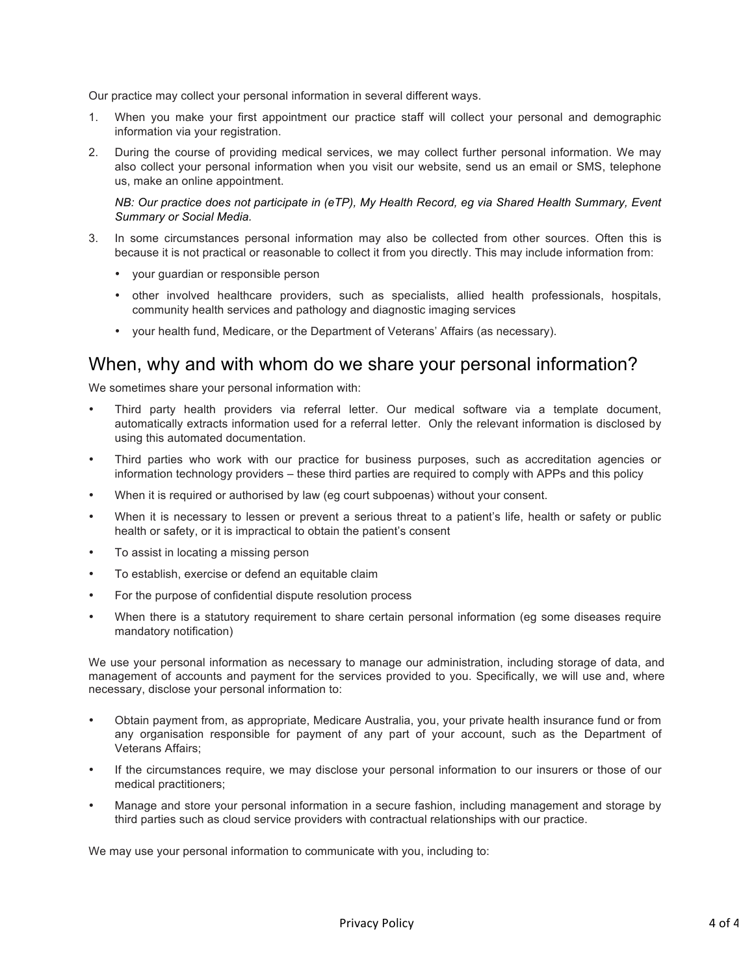Our practice may collect your personal information in several different ways.

- 1. When you make your first appointment our practice staff will collect your personal and demographic information via your registration.
- 2. During the course of providing medical services, we may collect further personal information. We may also collect your personal information when you visit our website, send us an email or SMS, telephone us, make an online appointment.

*NB: Our practice does not participate in (eTP), My Health Record, eg via Shared Health Summary, Event Summary or Social Media.*

- 3. In some circumstances personal information may also be collected from other sources. Often this is because it is not practical or reasonable to collect it from you directly. This may include information from:
	- your guardian or responsible person
	- other involved healthcare providers, such as specialists, allied health professionals, hospitals, community health services and pathology and diagnostic imaging services
	- your health fund, Medicare, or the Department of Veterans' Affairs (as necessary).

#### When, why and with whom do we share your personal information?

We sometimes share your personal information with:

- Third party health providers via referral letter. Our medical software via a template document, automatically extracts information used for a referral letter. Only the relevant information is disclosed by using this automated documentation.
- Third parties who work with our practice for business purposes, such as accreditation agencies or information technology providers – these third parties are required to comply with APPs and this policy
- When it is required or authorised by law (eg court subpoenas) without your consent.
- When it is necessary to lessen or prevent a serious threat to a patient's life, health or safety or public health or safety, or it is impractical to obtain the patient's consent
- To assist in locating a missing person
- To establish, exercise or defend an equitable claim
- For the purpose of confidential dispute resolution process
- When there is a statutory requirement to share certain personal information (eg some diseases require mandatory notification)

We use your personal information as necessary to manage our administration, including storage of data, and management of accounts and payment for the services provided to you. Specifically, we will use and, where necessary, disclose your personal information to:

- Obtain payment from, as appropriate, Medicare Australia, you, your private health insurance fund or from any organisation responsible for payment of any part of your account, such as the Department of Veterans Affairs;
- If the circumstances require, we may disclose your personal information to our insurers or those of our medical practitioners;
- Manage and store your personal information in a secure fashion, including management and storage by third parties such as cloud service providers with contractual relationships with our practice.

We may use your personal information to communicate with you, including to: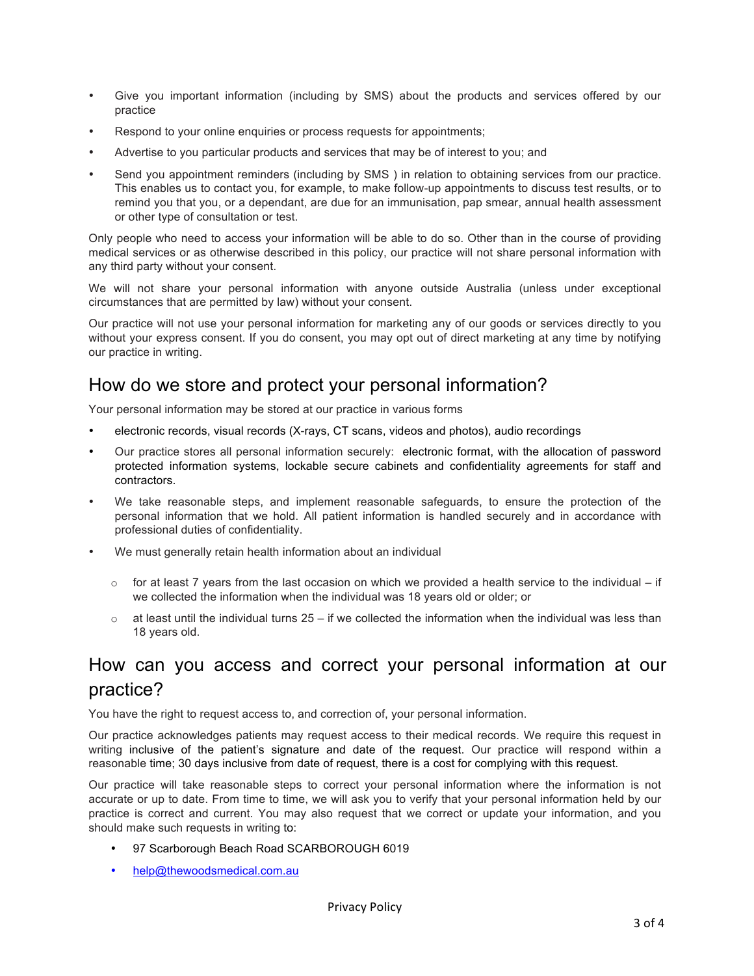- Give you important information (including by SMS) about the products and services offered by our practice
- Respond to your online enquiries or process requests for appointments;
- Advertise to you particular products and services that may be of interest to you; and
- Send you appointment reminders (including by SMS ) in relation to obtaining services from our practice. This enables us to contact you, for example, to make follow-up appointments to discuss test results, or to remind you that you, or a dependant, are due for an immunisation, pap smear, annual health assessment or other type of consultation or test.

Only people who need to access your information will be able to do so. Other than in the course of providing medical services or as otherwise described in this policy, our practice will not share personal information with any third party without your consent.

We will not share your personal information with anyone outside Australia (unless under exceptional circumstances that are permitted by law) without your consent.

Our practice will not use your personal information for marketing any of our goods or services directly to you without your express consent. If you do consent, you may opt out of direct marketing at any time by notifying our practice in writing.

## How do we store and protect your personal information?

Your personal information may be stored at our practice in various forms

- electronic records, visual records (X-rays, CT scans, videos and photos), audio recordings
- Our practice stores all personal information securely: electronic format, with the allocation of password protected information systems, lockable secure cabinets and confidentiality agreements for staff and contractors.
- We take reasonable steps, and implement reasonable safeguards, to ensure the protection of the personal information that we hold. All patient information is handled securely and in accordance with professional duties of confidentiality.
- We must generally retain health information about an individual
	- $\circ$  for at least 7 years from the last occasion on which we provided a health service to the individual if we collected the information when the individual was 18 years old or older; or
	- $\circ$  at least until the individual turns 25 if we collected the information when the individual was less than 18 years old.

# How can you access and correct your personal information at our practice?

You have the right to request access to, and correction of, your personal information.

Our practice acknowledges patients may request access to their medical records. We require this request in writing inclusive of the patient's signature and date of the request. Our practice will respond within a reasonable time; 30 days inclusive from date of request, there is a cost for complying with this request.

Our practice will take reasonable steps to correct your personal information where the information is not accurate or up to date. From time to time, we will ask you to verify that your personal information held by our practice is correct and current. You may also request that we correct or update your information, and you should make such requests in writing to:

- 97 Scarborough Beach Road SCARBOROUGH 6019
- help@thewoodsmedical.com.au